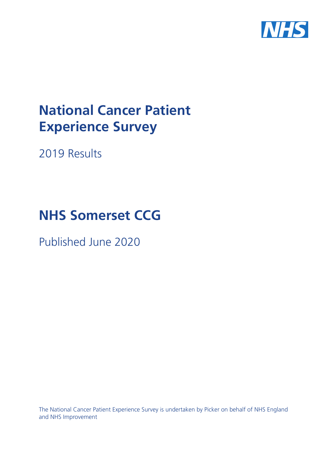

# **National Cancer Patient Experience Survey**

2019 Results

# **NHS Somerset CCG**

Published June 2020

The National Cancer Patient Experience Survey is undertaken by Picker on behalf of NHS England and NHS Improvement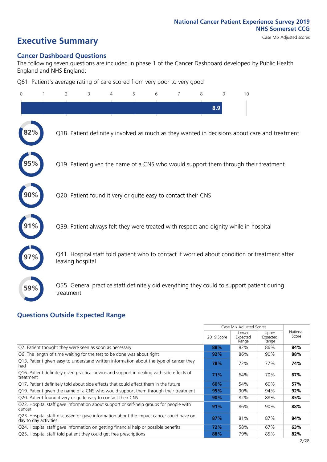# **Executive Summary** Case Mix Adjusted scores

#### **Cancer Dashboard Questions**

The following seven questions are included in phase 1 of the Cancer Dashboard developed by Public Health England and NHS England:

Q61. Patient's average rating of care scored from very poor to very good

| $\overline{0}$ | $\overline{2}$                                                | 3 | $\overline{4}$ | 5 | 6 | 7 | 8 | 9   | 10                                                                                            |
|----------------|---------------------------------------------------------------|---|----------------|---|---|---|---|-----|-----------------------------------------------------------------------------------------------|
|                |                                                               |   |                |   |   |   |   | 8.9 |                                                                                               |
| 82%            |                                                               |   |                |   |   |   |   |     | Q18. Patient definitely involved as much as they wanted in decisions about care and treatment |
|                |                                                               |   |                |   |   |   |   |     | Q19. Patient given the name of a CNS who would support them through their treatment           |
|                | Q20. Patient found it very or quite easy to contact their CNS |   |                |   |   |   |   |     |                                                                                               |
|                |                                                               |   |                |   |   |   |   |     | Q39. Patient always felt they were treated with respect and dignity while in hospital         |
|                | leaving hospital                                              |   |                |   |   |   |   |     | Q41. Hospital staff told patient who to contact if worried about condition or treatment after |
| 59%            | treatment                                                     |   |                |   |   |   |   |     | Q55. General practice staff definitely did everything they could to support patient during    |

#### **Questions Outside Expected Range**

|                                                                                                                  |            | Case Mix Adjusted Scores   |                            |                   |
|------------------------------------------------------------------------------------------------------------------|------------|----------------------------|----------------------------|-------------------|
|                                                                                                                  | 2019 Score | Lower<br>Expected<br>Range | Upper<br>Expected<br>Range | National<br>Score |
| Q2. Patient thought they were seen as soon as necessary                                                          | 88%        | 82%                        | 86%                        | 84%               |
| Q6. The length of time waiting for the test to be done was about right                                           | 92%        | 86%                        | 90%                        | 88%               |
| Q13. Patient given easy to understand written information about the type of cancer they<br>had                   | 78%        | 72%                        | 77%                        | 74%               |
| Q16. Patient definitely given practical advice and support in dealing with side effects of<br>treatment          | 71%        | 64%                        | 70%                        | 67%               |
| Q17. Patient definitely told about side effects that could affect them in the future                             | 60%        | 54%                        | 60%                        | 57%               |
| Q19. Patient given the name of a CNS who would support them through their treatment                              | 95%        | $90\%$                     | 94%                        | 92%               |
| Q20. Patient found it very or quite easy to contact their CNS                                                    | 90%        | 82%                        | 88%                        | 85%               |
| Q22. Hospital staff gave information about support or self-help groups for people with<br>cancer                 | 91%        | 86%                        | 90%                        | 88%               |
| Q23. Hospital staff discussed or gave information about the impact cancer could have on<br>day to day activities | 87%        | 81%                        | 87%                        | 84%               |
| Q24. Hospital staff gave information on getting financial help or possible benefits                              | 72%        | 58%                        | 67%                        | 63%               |
| Q25. Hospital staff told patient they could get free prescriptions                                               | 88%        | 79%                        | 85%                        | 82%               |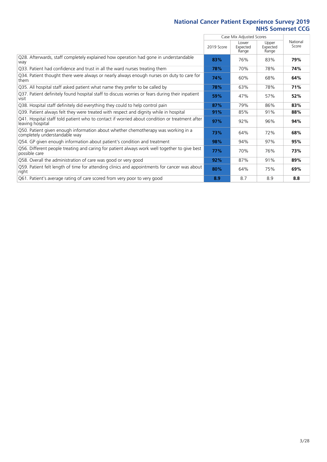$\overline{a}$ 

|                                                                                                                    |            | Case Mix Adjusted Scores   |                            |                   |
|--------------------------------------------------------------------------------------------------------------------|------------|----------------------------|----------------------------|-------------------|
|                                                                                                                    | 2019 Score | Lower<br>Expected<br>Range | Upper<br>Expected<br>Range | National<br>Score |
| Q28. Afterwards, staff completely explained how operation had gone in understandable<br>way                        | 83%        | 76%                        | 83%                        | 79%               |
| Q33. Patient had confidence and trust in all the ward nurses treating them                                         | 78%        | 70%                        | 78%                        | 74%               |
| Q34. Patient thought there were always or nearly always enough nurses on duty to care for<br>them                  | 74%        | 60%                        | 68%                        | 64%               |
| Q35. All hospital staff asked patient what name they prefer to be called by                                        | 78%        | 63%                        | 78%                        | 71%               |
| Q37. Patient definitely found hospital staff to discuss worries or fears during their inpatient<br>visit           | 59%        | 47%                        | 57%                        | 52%               |
| Q38. Hospital staff definitely did everything they could to help control pain                                      | 87%        | 79%                        | 86%                        | 83%               |
| Q39. Patient always felt they were treated with respect and dignity while in hospital                              | 91%        | 85%                        | 91%                        | 88%               |
| Q41. Hospital staff told patient who to contact if worried about condition or treatment after<br>leaving hospital  | 97%        | 92%                        | 96%                        | 94%               |
| Q50. Patient given enough information about whether chemotherapy was working in a<br>completely understandable way | 73%        | 64%                        | 72%                        | 68%               |
| Q54. GP given enough information about patient's condition and treatment                                           | 98%        | 94%                        | 97%                        | 95%               |
| Q56. Different people treating and caring for patient always work well together to give best<br>possible care      | 77%        | 70%                        | 76%                        | 73%               |
| Q58. Overall the administration of care was good or very good                                                      | 92%        | 87%                        | 91%                        | 89%               |
| Q59. Patient felt length of time for attending clinics and appointments for cancer was about<br>right              | 80%        | 64%                        | 75%                        | 69%               |
| Q61. Patient's average rating of care scored from very poor to very good                                           | 8.9        | 8.7                        | 8.9                        | 8.8               |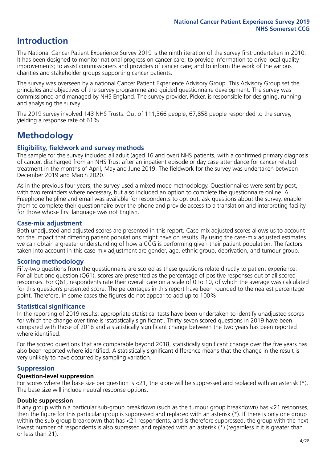## **Introduction**

The National Cancer Patient Experience Survey 2019 is the ninth iteration of the survey first undertaken in 2010. It has been designed to monitor national progress on cancer care; to provide information to drive local quality improvements; to assist commissioners and providers of cancer care; and to inform the work of the various charities and stakeholder groups supporting cancer patients.

The survey was overseen by a national Cancer Patient Experience Advisory Group. This Advisory Group set the principles and objectives of the survey programme and guided questionnaire development. The survey was commissioned and managed by NHS England. The survey provider, Picker, is responsible for designing, running and analysing the survey.

The 2019 survey involved 143 NHS Trusts. Out of 111,366 people, 67,858 people responded to the survey, yielding a response rate of 61%.

# **Methodology**

#### **Eligibility, eldwork and survey methods**

The sample for the survey included all adult (aged 16 and over) NHS patients, with a confirmed primary diagnosis of cancer, discharged from an NHS Trust after an inpatient episode or day case attendance for cancer related treatment in the months of April, May and June 2019. The fieldwork for the survey was undertaken between December 2019 and March 2020.

As in the previous four years, the survey used a mixed mode methodology. Questionnaires were sent by post, with two reminders where necessary, but also included an option to complete the questionnaire online. A Freephone helpline and email was available for respondents to opt out, ask questions about the survey, enable them to complete their questionnaire over the phone and provide access to a translation and interpreting facility for those whose first language was not English.

#### **Case-mix adjustment**

Both unadjusted and adjusted scores are presented in this report. Case-mix adjusted scores allows us to account for the impact that differing patient populations might have on results. By using the case-mix adjusted estimates we can obtain a greater understanding of how a CCG is performing given their patient population. The factors taken into account in this case-mix adjustment are gender, age, ethnic group, deprivation, and tumour group.

#### **Scoring methodology**

Fifty-two questions from the questionnaire are scored as these questions relate directly to patient experience. For all but one question (Q61), scores are presented as the percentage of positive responses out of all scored responses. For Q61, respondents rate their overall care on a scale of 0 to 10, of which the average was calculated for this question's presented score. The percentages in this report have been rounded to the nearest percentage point. Therefore, in some cases the figures do not appear to add up to 100%.

#### **Statistical significance**

In the reporting of 2019 results, appropriate statistical tests have been undertaken to identify unadjusted scores for which the change over time is 'statistically significant'. Thirty-seven scored questions in 2019 have been compared with those of 2018 and a statistically significant change between the two years has been reported where identified.

For the scored questions that are comparable beyond 2018, statistically significant change over the five years has also been reported where identified. A statistically significant difference means that the change in the result is very unlikely to have occurred by sampling variation.

#### **Suppression**

#### **Question-level suppression**

For scores where the base size per question is  $<$ 21, the score will be suppressed and replaced with an asterisk (\*). The base size will include neutral response options.

#### **Double suppression**

If any group within a particular sub-group breakdown (such as the tumour group breakdown) has <21 responses, then the figure for this particular group is suppressed and replaced with an asterisk (\*). If there is only one group within the sub-group breakdown that has <21 respondents, and is therefore suppressed, the group with the next lowest number of respondents is also supressed and replaced with an asterisk (\*) (regardless if it is greater than or less than 21).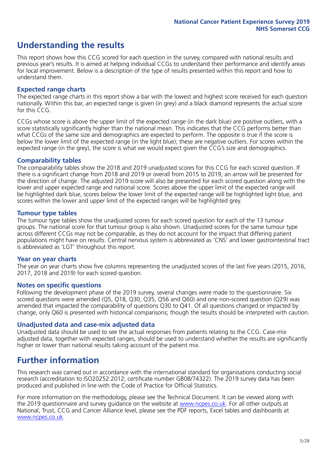## **Understanding the results**

This report shows how this CCG scored for each question in the survey, compared with national results and previous year's results. It is aimed at helping individual CCGs to understand their performance and identify areas for local improvement. Below is a description of the type of results presented within this report and how to understand them.

#### **Expected range charts**

The expected range charts in this report show a bar with the lowest and highest score received for each question nationally. Within this bar, an expected range is given (in grey) and a black diamond represents the actual score for this CCG.

CCGs whose score is above the upper limit of the expected range (in the dark blue) are positive outliers, with a score statistically significantly higher than the national mean. This indicates that the CCG performs better than what CCGs of the same size and demographics are expected to perform. The opposite is true if the score is below the lower limit of the expected range (in the light blue); these are negative outliers. For scores within the expected range (in the grey), the score is what we would expect given the CCG's size and demographics.

#### **Comparability tables**

The comparability tables show the 2018 and 2019 unadjusted scores for this CCG for each scored question. If there is a significant change from 2018 and 2019 or overall from 2015 to 2019, an arrow will be presented for the direction of change. The adjusted 2019 score will also be presented for each scored question along with the lower and upper expected range and national score. Scores above the upper limit of the expected range will be highlighted dark blue, scores below the lower limit of the expected range will be highlighted light blue, and scores within the lower and upper limit of the expected ranges will be highlighted grey.

#### **Tumour type tables**

The tumour type tables show the unadjusted scores for each scored question for each of the 13 tumour groups. The national score for that tumour group is also shown. Unadjusted scores for the same tumour type across different CCGs may not be comparable, as they do not account for the impact that differing patient populations might have on results. Central nervous system is abbreviated as 'CNS' and lower gastrointestinal tract is abbreviated as 'LGT' throughout this report.

#### **Year on year charts**

The year on year charts show five columns representing the unadjusted scores of the last five years (2015, 2016, 2017, 2018 and 2019) for each scored question.

#### **Notes on specific questions**

Following the development phase of the 2019 survey, several changes were made to the questionnaire. Six scored questions were amended (Q5, Q18, Q30, Q35, Q56 and Q60) and one non-scored question (Q29) was amended that impacted the comparability of questions Q30 to Q41. Of all questions changed or impacted by change, only Q60 is presented with historical comparisons; though the results should be interpreted with caution.

#### **Unadjusted data and case-mix adjusted data**

Unadjusted data should be used to see the actual responses from patients relating to the CCG. Case-mix adjusted data, together with expected ranges, should be used to understand whether the results are significantly higher or lower than national results taking account of the patient mix.

### **Further information**

This research was carried out in accordance with the international standard for organisations conducting social research (accreditation to ISO20252:2012; certificate number GB08/74322). The 2019 survey data has been produced and published in line with the Code of Practice for Official Statistics.

For more information on the methodology, please see the Technical Document. It can be viewed along with the 2019 questionnaire and survey quidance on the website at [www.ncpes.co.uk](https://www.ncpes.co.uk/supporting-documents). For all other outputs at National, Trust, CCG and Cancer Alliance level, please see the PDF reports, Excel tables and dashboards at [www.ncpes.co.uk.](https://www.ncpes.co.uk/current-results)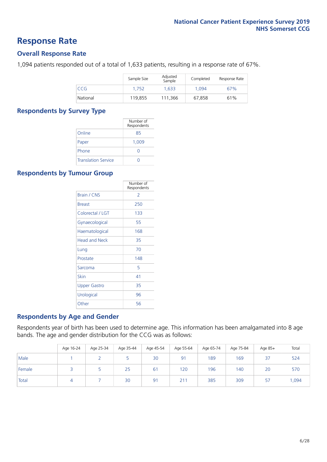### **Response Rate**

#### **Overall Response Rate**

1,094 patients responded out of a total of 1,633 patients, resulting in a response rate of 67%.

|          | Sample Size | Adjusted<br>Sample | Completed | Response Rate |
|----------|-------------|--------------------|-----------|---------------|
| CCG      | 1.752       | 1.633              | 1.094     | 67%           |
| National | 119,855     | 111.366            | 67,858    | 61%           |

#### **Respondents by Survey Type**

|                            | Number of<br>Respondents |
|----------------------------|--------------------------|
| Online                     | 85                       |
| Paper                      | 1,009                    |
| Phone                      | 0                        |
| <b>Translation Service</b> |                          |

#### **Respondents by Tumour Group**

|                      | Number of<br>Respondents |
|----------------------|--------------------------|
| <b>Brain / CNS</b>   | $\mathcal{P}$            |
| <b>Breast</b>        | 250                      |
| Colorectal / LGT     | 133                      |
| Gynaecological       | 55                       |
| Haematological       | 168                      |
| <b>Head and Neck</b> | 35                       |
| Lung                 | 70                       |
| Prostate             | 148                      |
| Sarcoma              | 5                        |
| Skin                 | 41                       |
| Upper Gastro         | 35                       |
| Urological           | 96                       |
| Other                | 56                       |

#### **Respondents by Age and Gender**

Respondents year of birth has been used to determine age. This information has been amalgamated into 8 age bands. The age and gender distribution for the CCG was as follows:

|        | Age 16-24 | Age 25-34 | Age 35-44 | Age 45-54 | Age 55-64 | Age 65-74 | Age 75-84 | Age 85+ | Total |
|--------|-----------|-----------|-----------|-----------|-----------|-----------|-----------|---------|-------|
| Male   |           |           |           | 30        | 91        | 189       | 169       | 37      | 524   |
| Female |           |           | 25        | 61        | 120       | 196       | 140       | 20      | 570   |
| Total  |           |           | 30        | 91        | 211       | 385       | 309       | 57      | ,094  |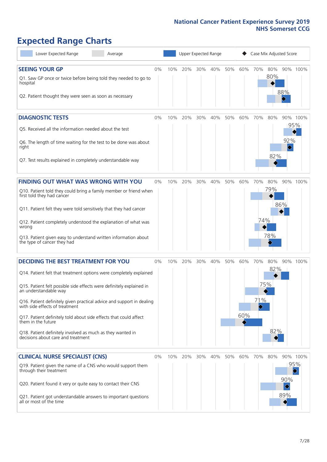# **Expected Range Charts**

| Lower Expected Range<br>Average                                                                         |       |     | Upper Expected Range |     |     |     |     | Case Mix Adjusted Score |            |                                         |                                |
|---------------------------------------------------------------------------------------------------------|-------|-----|----------------------|-----|-----|-----|-----|-------------------------|------------|-----------------------------------------|--------------------------------|
| <b>SEEING YOUR GP</b><br>Q1. Saw GP once or twice before being told they needed to go to<br>hospital    | 0%    | 10% | 20%                  | 30% | 40% | 50% | 60% | 70%                     | 80%<br>80% |                                         | 90% 100%                       |
| Q2. Patient thought they were seen as soon as necessary                                                 |       |     |                      |     |     |     |     |                         |            | 88%                                     |                                |
| <b>DIAGNOSTIC TESTS</b>                                                                                 | $0\%$ | 10% | 20%                  | 30% | 40% | 50% | 60% | 70%                     | 80%        |                                         | 90% 100%                       |
| Q5. Received all the information needed about the test                                                  |       |     |                      |     |     |     |     |                         |            |                                         | 95%                            |
| Q6. The length of time waiting for the test to be done was about<br>right                               |       |     |                      |     |     |     |     |                         |            | 92%<br>$\hat{\textcolor{red} \diamond}$ |                                |
| Q7. Test results explained in completely understandable way                                             |       |     |                      |     |     |     |     |                         | 82%        |                                         |                                |
| <b>FINDING OUT WHAT WAS WRONG WITH YOU</b>                                                              | $0\%$ | 10% | 20%                  | 30% | 40% | 50% | 60% | 70%                     | 80%        |                                         | 90% 100%                       |
| Q10. Patient told they could bring a family member or friend when<br>first told they had cancer         |       |     |                      |     |     |     |     |                         | 79%        |                                         |                                |
| Q11. Patient felt they were told sensitively that they had cancer                                       |       |     |                      |     |     |     |     |                         |            | 86%                                     |                                |
| Q12. Patient completely understood the explanation of what was<br>wrong                                 |       |     |                      |     |     |     |     | 74%                     |            |                                         |                                |
| Q13. Patient given easy to understand written information about<br>the type of cancer they had          |       |     |                      |     |     |     |     |                         | 78%        |                                         |                                |
| <b>DECIDING THE BEST TREATMENT FOR YOU</b>                                                              | $0\%$ | 10% | 20%                  | 30% | 40% | 50% | 60% | 70%                     | 80%        |                                         | 90% 100%                       |
| Q14. Patient felt that treatment options were completely explained                                      |       |     |                      |     |     |     |     |                         | 82%        |                                         |                                |
| Q15. Patient felt possible side effects were definitely explained in<br>an understandable way           |       |     |                      |     |     |     |     |                         | 75%        |                                         |                                |
| Q16. Patient definitely given practical advice and support in dealing<br>with side effects of treatment |       |     |                      |     |     |     |     | 71%                     |            |                                         |                                |
| Q17. Patient definitely told about side effects that could affect<br>them in the future                 |       |     |                      |     |     |     | 60% |                         |            |                                         |                                |
| Q18. Patient definitely involved as much as they wanted in<br>decisions about care and treatment        |       |     |                      |     |     |     |     |                         | 82%        |                                         |                                |
| <b>CLINICAL NURSE SPECIALIST (CNS)</b>                                                                  | $0\%$ | 10% | 20%                  | 30% | 40% | 50% | 60% | 70%                     | 80%        |                                         | 90% 100%                       |
| Q19. Patient given the name of a CNS who would support them<br>through their treatment                  |       |     |                      |     |     |     |     |                         |            |                                         | 95%<br>$\color{black}\diamond$ |
| Q20. Patient found it very or quite easy to contact their CNS                                           |       |     |                      |     |     |     |     |                         |            | 90%<br>♦<br>89%                         |                                |
| Q21. Patient got understandable answers to important questions<br>all or most of the time               |       |     |                      |     |     |     |     |                         |            |                                         |                                |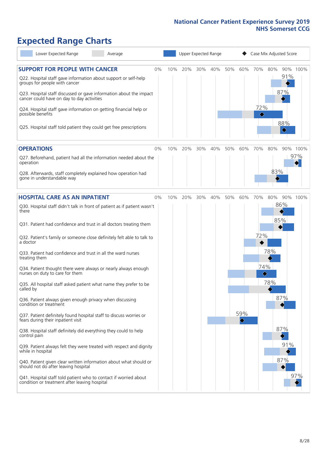# **Expected Range Charts**

| Lower Expected Range<br>Average                                                                                   |     |     | Upper Expected Range |     |     |                                     | Case Mix Adjusted Score |     |                                     |          |
|-------------------------------------------------------------------------------------------------------------------|-----|-----|----------------------|-----|-----|-------------------------------------|-------------------------|-----|-------------------------------------|----------|
| <b>SUPPORT FOR PEOPLE WITH CANCER</b><br>$0\%$                                                                    | 10% | 20% | 30%                  | 40% | 50% | 60%                                 | 70%                     | 80% |                                     | 90% 100% |
| Q22. Hospital staff gave information about support or self-help<br>groups for people with cancer                  |     |     |                      |     |     |                                     |                         |     | 91%                                 |          |
| Q23. Hospital staff discussed or gave information about the impact<br>cancer could have on day to day activities  |     |     |                      |     |     |                                     |                         |     | 87%                                 |          |
| Q24. Hospital staff gave information on getting financial help or<br>possible benefits                            |     |     |                      |     |     |                                     | 72%<br>♦                |     |                                     |          |
| Q25. Hospital staff told patient they could get free prescriptions                                                |     |     |                      |     |     |                                     |                         |     | 88%<br>$\color{black} \diamondsuit$ |          |
| <b>OPERATIONS</b><br>$0\%$                                                                                        | 10% | 20% | 30%                  | 40% | 50% | 60%                                 | 70%                     | 80% |                                     | 90% 100% |
| Q27. Beforehand, patient had all the information needed about the<br>operation                                    |     |     |                      |     |     |                                     |                         |     |                                     | 97%      |
| Q28. Afterwards, staff completely explained how operation had<br>gone in understandable way                       |     |     |                      |     |     |                                     |                         | 83% |                                     |          |
| <b>HOSPITAL CARE AS AN INPATIENT</b><br>$0\%$                                                                     | 10% | 20% | 30%                  | 40% | 50% | 60%                                 | 70%                     | 80% |                                     | 90% 100% |
| Q30. Hospital staff didn't talk in front of patient as if patient wasn't<br>there                                 |     |     |                      |     |     |                                     |                         |     | 86%                                 |          |
| Q31. Patient had confidence and trust in all doctors treating them                                                |     |     |                      |     |     |                                     |                         | 85% |                                     |          |
| Q32. Patient's family or someone close definitely felt able to talk to<br>a doctor                                |     |     |                      |     |     |                                     | 72%                     |     |                                     |          |
| Q33. Patient had confidence and trust in all the ward nurses<br>treating them                                     |     |     |                      |     |     |                                     |                         | 78% |                                     |          |
| Q34. Patient thought there were always or nearly always enough<br>nurses on duty to care for them                 |     |     |                      |     |     |                                     | 74%<br>♦                |     |                                     |          |
| Q35. All hospital staff asked patient what name they prefer to be<br>called by                                    |     |     |                      |     |     |                                     |                         | 78% |                                     |          |
| Q36. Patient always given enough privacy when discussing<br>condition or treatment                                |     |     |                      |     |     |                                     |                         |     | 87%                                 |          |
| Q37. Patient definitely found hospital staff to discuss worries or<br>fears during their inpatient visit          |     |     |                      |     |     | 59%<br>$\color{black}\blacklozenge$ |                         |     |                                     |          |
| Q38. Hospital staff definitely did everything they could to help<br>control pain                                  |     |     |                      |     |     |                                     |                         |     | 87%                                 |          |
| Q39. Patient always felt they were treated with respect and dignity<br>while in hospital                          |     |     |                      |     |     |                                     |                         |     | 91%                                 |          |
| Q40. Patient given clear written information about what should or<br>should not do after leaving hospital         |     |     |                      |     |     |                                     |                         |     | 87%                                 |          |
| Q41. Hospital staff told patient who to contact if worried about<br>condition or treatment after leaving hospital |     |     |                      |     |     |                                     |                         |     |                                     | 97%      |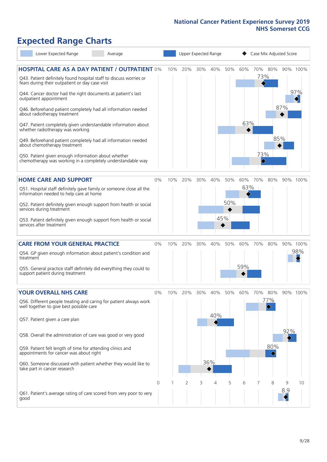# **Expected Range Charts**

| Lower Expected Range<br>Average                                                                                                                                                |       |     |     |     | Upper Expected Range |     |     |                        |     | Case Mix Adjusted Score |          |
|--------------------------------------------------------------------------------------------------------------------------------------------------------------------------------|-------|-----|-----|-----|----------------------|-----|-----|------------------------|-----|-------------------------|----------|
| <b>HOSPITAL CARE AS A DAY PATIENT / OUTPATIENT 0%</b><br>Q43. Patient definitely found hospital staff to discuss worries or<br>fears during their outpatient or day case visit |       | 10% | 20% | 30% | 40%                  | 50% | 60% | 70% 80%                | 73% |                         | 90% 100% |
| Q44. Cancer doctor had the right documents at patient's last<br>outpatient appointment                                                                                         |       |     |     |     |                      |     |     |                        |     |                         | 97%      |
| Q46. Beforehand patient completely had all information needed<br>about radiotherapy treatment                                                                                  |       |     |     |     |                      |     |     |                        |     | 87%                     |          |
| Q47. Patient completely given understandable information about<br>whether radiotherapy was working                                                                             |       |     |     |     |                      |     | 63% |                        |     |                         |          |
| Q49. Beforehand patient completely had all information needed<br>about chemotherapy treatment                                                                                  |       |     |     |     |                      |     |     |                        | 85% |                         |          |
| Q50. Patient given enough information about whether<br>chemotherapy was working in a completely understandable way                                                             |       |     |     |     |                      |     |     | 73%<br>$\blacklozenge$ |     |                         |          |
| <b>HOME CARE AND SUPPORT</b>                                                                                                                                                   | 0%    | 10% | 20% | 30% | 40%                  | 50% | 60% | 70%                    | 80% |                         | 90% 100% |
| Q51. Hospital staff definitely gave family or someone close all the<br>information needed to help care at home                                                                 |       |     |     |     |                      |     | 63% |                        |     |                         |          |
| Q52. Patient definitely given enough support from health or social<br>services during treatment                                                                                |       |     |     |     |                      | 50% |     |                        |     |                         |          |
| Q53. Patient definitely given enough support from health or social<br>services after treatment                                                                                 |       |     |     |     |                      | 45% |     |                        |     |                         |          |
| <b>CARE FROM YOUR GENERAL PRACTICE</b>                                                                                                                                         | 0%    | 10% | 20% | 30% | 40%                  | 50% | 60% | 70%                    | 80% |                         | 90% 100% |
| Q54. GP given enough information about patient's condition and<br>treatment                                                                                                    |       |     |     |     |                      |     |     |                        |     |                         | 98%      |
| Q55. General practice staff definitely did everything they could to<br>support patient during treatment                                                                        |       |     |     |     |                      |     | 59% |                        |     |                         |          |
| <b>YOUR OVERALL NHS CARE</b>                                                                                                                                                   | $0\%$ | 10% | 20% | 30% | 40%                  | 50% | 60% | 70%                    | 80% | 90%                     | 100%     |
| Q56. Different people treating and caring for patient always work<br>well together to give best possible care                                                                  |       |     |     |     | 40%                  |     |     |                        | 77% |                         |          |
| Q57. Patient given a care plan                                                                                                                                                 |       |     |     |     |                      |     |     |                        |     | 92%                     |          |
| Q58. Overall the administration of care was good or very good                                                                                                                  |       |     |     |     |                      |     |     |                        |     |                         |          |
| Q59. Patient felt length of time for attending clinics and<br>appointments for cancer was about right                                                                          |       |     |     |     |                      |     |     |                        | 80% |                         |          |
| Q60. Someone discussed with patient whether they would like to<br>take part in cancer research                                                                                 |       |     |     |     | 36%                  |     |     |                        |     |                         |          |
|                                                                                                                                                                                | 0     |     | 2   | 3   | 4                    | 5   | 6   | 7                      | 8   | 9                       | 10       |
| Q61. Patient's average rating of care scored from very poor to very<br>good                                                                                                    |       |     |     |     |                      |     |     |                        |     | 8.9                     |          |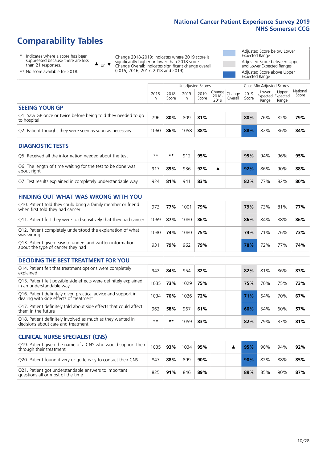# **Comparability Tables**

\* Indicates where a score has been suppressed because there are less than 21 responses.

\*\* No score available for 2018.

or  $\blacktriangledown$  $\blacktriangle$ 

Q13. Patient given easy to understand written information

Change 2018-2019: Indicates where 2019 score is significantly higher or lower than 2018 score Change Overall: Indicates significant change overall (2015, 2016, 2017, 2018 and 2019).

Adjusted Score below Lower Expected Range Adjusted Score between Upper and Lower Expected Ranges Adjusted Score above Upper Expected Range

|                                                                             | Case Mix Adjusted Scores<br>Unadjusted Scores |               |           |               |                                                  |         |               |                |                                     |                   |
|-----------------------------------------------------------------------------|-----------------------------------------------|---------------|-----------|---------------|--------------------------------------------------|---------|---------------|----------------|-------------------------------------|-------------------|
|                                                                             | 2018<br>n                                     | 2018<br>Score | 2019<br>n | 2019<br>Score | $\sqrt{(\text{Change})}$ Change<br>2018-<br>2019 | Overall | 2019<br>Score | Lower<br>Range | Upper<br>Expected Expected<br>Range | National<br>Score |
| <b>SEEING YOUR GP</b>                                                       |                                               |               |           |               |                                                  |         |               |                |                                     |                   |
| Q1. Saw GP once or twice before being told they needed to go<br>to hospital | 796                                           | 80%           | 809       | 81%           |                                                  |         | 80%           | 76%            | 82%                                 | 79%               |
| Q2. Patient thought they were seen as soon as necessary                     | 1060                                          | 86%           | 1058      | 88%           |                                                  |         | 88%           | 82%            | 86%                                 | 84%               |
| <b>DIAGNOSTIC TESTS</b>                                                     |                                               |               |           |               |                                                  |         |               |                |                                     |                   |

| <u>PERSITY JIR ILJIJ</u>                                                  |       |     |     |     |  |     |     |     |     |
|---------------------------------------------------------------------------|-------|-----|-----|-----|--|-----|-----|-----|-----|
| O5. Received all the information needed about the test                    | $***$ | **  | 912 | 95% |  | 95% | 94% | 96% | 95% |
| Q6. The length of time waiting for the test to be done was<br>about right | 917   | 89% | 936 | 92% |  | 92% | 86% | 90% | 88% |
| Q7. Test results explained in completely understandable way               | 924   | 81% | 941 | 83% |  | 82% | 77% | 82% | 80% |

| <b>FINDING OUT WHAT WAS WRONG WITH YOU</b>                                                      |      |     |      |     |     |     |     |     |
|-------------------------------------------------------------------------------------------------|------|-----|------|-----|-----|-----|-----|-----|
| Q10. Patient told they could bring a family member or friend<br>when first told they had cancer | 973  | 77% | 1001 | 79% | 79% | 73% | 81% | 77% |
| Q11. Patient felt they were told sensitively that they had cancer                               | 1069 | 87% | 1080 | 86% | 86% | 84% | 88% | 86% |
| Q12. Patient completely understood the explanation of what<br>was wrong                         | 1080 | 74% | 1080 | 75% | 74% | 71% | 76% | 73% |

| <b>DECIDING THE BEST TREATMENT FOR YOU</b>                                                              |      |     |      |     |     |     |     |     |
|---------------------------------------------------------------------------------------------------------|------|-----|------|-----|-----|-----|-----|-----|
| Q14. Patient felt that treatment options were completely<br>explained                                   | 942  | 84% | 954  | 82% | 82% | 81% | 86% | 83% |
| Q15. Patient felt possible side effects were definitely explained<br>in an understandable way           | 1035 | 73% | 1029 | 75% | 75% | 70% | 75% | 73% |
| Q16. Patient definitely given practical advice and support in<br>dealing with side effects of treatment | 1034 | 70% | 1026 | 72% | 71% | 64% | 70% | 67% |
| Q17. Patient definitely told about side effects that could affect<br>them in the future                 | 962  | 58% | 967  | 61% | 60% | 54% | 60% | 57% |
| Q18. Patient definitely involved as much as they wanted in<br>decisions about care and treatment        | $**$ | **  | 1059 | 83% | 82% | 79% | 83% | 81% |

about the type of cancer they had <sup>931</sup> **79%** <sup>962</sup> **79% 78%** 72% 77% **74%**

| <b>CLINICAL NURSE SPECIALIST (CNS)</b>                                                    |      |     |      |     |  |     |     |     |     |
|-------------------------------------------------------------------------------------------|------|-----|------|-----|--|-----|-----|-----|-----|
| Q19. Patient given the name of a CNS who would support them<br>through their treatment    | 1035 | 93% | 1034 | 95% |  | 95% | 90% | 94% | 92% |
| Q20. Patient found it very or quite easy to contact their CNS                             | 847  | 88% | 899  | 90% |  | 90% | 82% | 88% | 85% |
| Q21. Patient got understandable answers to important<br>questions all or most of the time | 825  | 91% | 846  | 89% |  | 89% | 85% | 90% | 87% |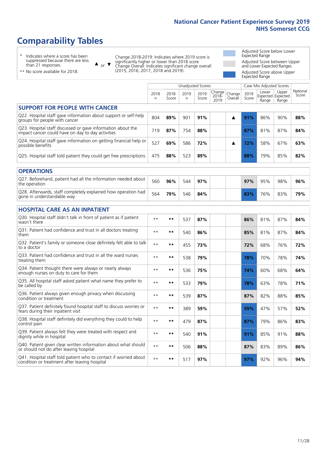# **Comparability Tables**

\* Indicates where a score has been suppressed because there are less than 21 responses.

\*\* No score available for 2018.

 $\triangle$  or  $\nabla$ 

Change 2018-2019: Indicates where 2019 score is significantly higher or lower than 2018 score Change Overall: Indicates significant change overall (2015, 2016, 2017, 2018 and 2019).

Adjusted Score below Lower Expected Range Adjusted Score between Upper and Lower Expected Ranges Adjusted Score above Upper Expected Range

|                                                                                                                   |              |               |           | Unadjusted Scores |                         |                   |               | Case Mix Adjusted Scores            |                |                   |
|-------------------------------------------------------------------------------------------------------------------|--------------|---------------|-----------|-------------------|-------------------------|-------------------|---------------|-------------------------------------|----------------|-------------------|
|                                                                                                                   | 2018<br>n    | 2018<br>Score | 2019<br>n | 2019<br>Score     | Change<br>2018-<br>2019 | Change<br>Overall | 2019<br>Score | Lower<br>Expected Expected<br>Range | Upper<br>Range | National<br>Score |
| <b>SUPPORT FOR PEOPLE WITH CANCER</b>                                                                             |              |               |           |                   |                         |                   |               |                                     |                |                   |
| Q22. Hospital staff gave information about support or self-help<br>groups for people with cancer                  | 804          | 89%           | 901       | 91%               |                         | ▲                 | 91%           | 86%                                 | 90%            | 88%               |
| Q23. Hospital staff discussed or gave information about the<br>impact cancer could have on day to day activities  | 719          | 87%           | 754       | 88%               |                         |                   | 87%           | 81%                                 | 87%            | 84%               |
| Q24. Hospital staff gave information on getting financial help or<br>possible benefits                            | 527          | 69%           | 586       | 72%               |                         | ▲                 | 72%           | 58%                                 | 67%            | 63%               |
| Q25. Hospital staff told patient they could get free prescriptions                                                | 475          | 88%           | 523       | 89%               |                         |                   | 88%           | 79%                                 | 85%            | 82%               |
| <b>OPERATIONS</b>                                                                                                 |              |               |           |                   |                         |                   |               |                                     |                |                   |
| Q27. Beforehand, patient had all the information needed about<br>the operation                                    | 560          | 96%           | 544       | 97%               |                         |                   | 97%           | 95%                                 | 98%            | 96%               |
| Q28. Afterwards, staff completely explained how operation had<br>gone in understandable way                       | 564          | 79%           | 546       | 84%               |                         |                   | 83%           | 76%                                 | 83%            | 79%               |
| <b>HOSPITAL CARE AS AN INPATIENT</b>                                                                              |              |               |           |                   |                         |                   |               |                                     |                |                   |
| Q30. Hospital staff didn't talk in front of patient as if patient<br>wasn't there                                 | $**$         | **            | 537       | 87%               |                         |                   | 86%           | 81%                                 | 87%            | 84%               |
| Q31. Patient had confidence and trust in all doctors treating<br>them                                             | $* *$        | **            | 540       | 86%               |                         |                   | 85%           | 81%                                 | 87%            | 84%               |
| Q32. Patient's family or someone close definitely felt able to talk<br>to a doctor                                | $\star\star$ | **            | 455       | 73%               |                         |                   | 72%           | 68%                                 | 76%            | 72%               |
| Q33. Patient had confidence and trust in all the ward nurses<br>treating them                                     | $\star\star$ | **            | 538       | 79%               |                         |                   | 78%           | 70%                                 | 78%            | 74%               |
| Q34. Patient thought there were always or nearly always<br>enough nurses on duty to care for them                 | $**$         | $***$         | 536       | 75%               |                         |                   | 74%           | 60%                                 | 68%            | 64%               |
| Q35. All hospital staff asked patient what name they prefer to<br>be called by                                    | $**$         | **            | 533       | 79%               |                         |                   | 78%           | 63%                                 | 78%            | 71%               |
| Q36. Patient always given enough privacy when discussing<br>condition or treatment                                | $\star\star$ | **            | 539       | 87%               |                         |                   | 87%           | 82%                                 | 88%            | 85%               |
| Q37. Patient definitely found hospital staff to discuss worries or<br>fears during their inpatient visit          | $* *$        | **            | 389       | 59%               |                         |                   | 59%           | 47%                                 | 57%            | 52%               |
| Q38. Hospital staff definitely did everything they could to help<br>control pain                                  | $\star\star$ | **            | 479       | 87%               |                         |                   | 87%           | 79%                                 | 86%            | 83%               |
| Q39. Patient always felt they were treated with respect and<br>dignity while in hospital                          | $\star\star$ | **            | 540       | 91%               |                         |                   | 91%           | 85%                                 | 91%            | 88%               |
| Q40. Patient given clear written information about what should<br>or should not do after leaving hospital         | $**$         | **            | 506       | 88%               |                         |                   | 87%           | 83%                                 | 89%            | 86%               |
| Q41. Hospital staff told patient who to contact if worried about<br>condition or treatment after leaving hospital | $**$         | **            | 517       | 97%               |                         |                   | 97%           | 92%                                 | 96%            | 94%               |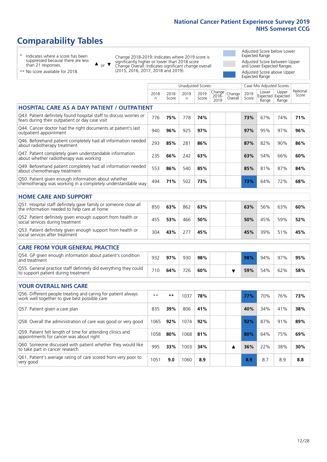# **Comparability Tables**

\* Indicates where a score has been suppressed because there are less than 21 responses.

\*\* No score available for 2018.

 $\triangle$  or  $\nabla$ 

Change 2018-2019: Indicates where 2019 score is significantly higher or lower than 2018 score Change Overall: Indicates significant change overall (2015, 2016, 2017, 2018 and 2019).

Adjusted Score below Lower Expected Range Adjusted Score between Upper and Lower Expected Ranges Adjusted Score above Upper Expected Range

|                                                                                                                       | <b>Unadjusted Scores</b> |               |           |               |                            |                   |               | Case Mix Adjusted Scores |                                     |                   |
|-----------------------------------------------------------------------------------------------------------------------|--------------------------|---------------|-----------|---------------|----------------------------|-------------------|---------------|--------------------------|-------------------------------------|-------------------|
|                                                                                                                       | 2018<br>n                | 2018<br>Score | 2019<br>n | 2019<br>Score | Change<br>$2018 -$<br>2019 | Change<br>Overall | 2019<br>Score | Lower<br>Range           | Upper<br>Expected Expected<br>Range | National<br>Score |
| <b>HOSPITAL CARE AS A DAY PATIENT / OUTPATIENT</b>                                                                    |                          |               |           |               |                            |                   |               |                          |                                     |                   |
| Q43. Patient definitely found hospital staff to discuss worries or<br>fears during their outpatient or day case visit | 776                      | 75%           | 778       | 74%           |                            |                   | 73%           | 67%                      | 74%                                 | 71%               |
| Q44. Cancer doctor had the right documents at patient's last<br>outpatient appointment                                | 940                      | 96%           | 925       | 97%           |                            |                   | 97%           | 95%                      | 97%                                 | 96%               |
| Q46. Beforehand patient completely had all information needed<br>about radiotherapy treatment                         | 293                      | 85%           | 281       | 86%           |                            |                   | 87%           | 82%                      | 90%                                 | 86%               |
| Q47. Patient completely given understandable information<br>about whether radiotherapy was working                    | 235                      | 66%           | 242       | 63%           |                            |                   | 63%           | 54%                      | 66%                                 | 60%               |
| Q49. Beforehand patient completely had all information needed<br>about chemotherapy treatment                         | 553                      | 86%           | 540       | 85%           |                            |                   | 85%           | 81%                      | 87%                                 | 84%               |
| Q50. Patient given enough information about whether<br>chemotherapy was working in a completely understandable way    | 494                      | 71%           | 502       | 73%           |                            |                   | 73%           | 64%                      | 72%                                 | 68%               |
| <b>HOME CARE AND SUPPORT</b>                                                                                          |                          |               |           |               |                            |                   |               |                          |                                     |                   |
| Q51. Hospital staff definitely gave family or someone close all<br>the information needed to help care at home        | 850                      | 63%           | 862       | 63%           |                            |                   | 63%           | 56%                      | 63%                                 | 60%               |
| Q52. Patient definitely given enough support from health or<br>social services during treatment                       | 455                      | 53%           | 466       | 50%           |                            |                   | 50%           | 45%                      | 59%                                 | 52%               |
| Q53. Patient definitely given enough support from health or<br>social services after treatment                        | 304                      | 43%           | 277       | 45%           |                            |                   | 45%           | 39%                      | 51%                                 | 45%               |
| <b>CARE FROM YOUR GENERAL PRACTICE</b>                                                                                |                          |               |           |               |                            |                   |               |                          |                                     |                   |
| Q54. GP given enough information about patient's condition<br>and treatment                                           | 932                      | 97%           | 930       | 98%           |                            |                   | 98%           | 94%                      | 97%                                 | 95%               |
| Q55. General practice staff definitely did everything they could<br>to support patient during treatment               | 710                      | 64%           | 726       | 60%           |                            | ▼                 | 59%           | 54%                      | 62%                                 | 58%               |
| <b>YOUR OVERALL NHS CARE</b>                                                                                          |                          |               |           |               |                            |                   |               |                          |                                     |                   |
|                                                                                                                       |                          |               |           |               |                            |                   |               |                          |                                     |                   |
| Q56. Different people treating and caring for patient always<br>work well together to give best possible care         | $* *$                    | $***$         | 1037      | 78%           |                            |                   | 77%           | 70%                      | 76%                                 | 73%               |
| Q57. Patient given a care plan                                                                                        | 835                      | 39%           | 806       | 41%           |                            |                   | 40%           | 34%                      | 41%                                 | 38%               |
| Q58. Overall the administration of care was good or very good                                                         | 1065                     | 92%           | 1074      | 92%           |                            |                   | 92%           | 87%                      | 91%                                 | 89%               |
| Q59. Patient felt length of time for attending clinics and<br>appointments for cancer was about right                 | 1058                     | 80%           | 1068      | 81%           |                            |                   | 80%           | 64%                      | 75%                                 | 69%               |
| Q60. Someone discussed with patient whether they would like<br>to take part in cancer research                        | 995                      | 33%           | 1003      | 34%           |                            | ▲                 | 36%           | 22%                      | 38%                                 | 30%               |
| Q61. Patient's average rating of care scored from very poor to<br>very good                                           | 1051                     | 9.0           | 1060      | 8.9           |                            |                   | 8.9           | 8.7                      | 8.9                                 | 8.8               |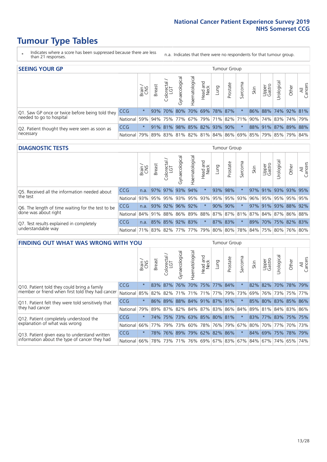- \* Indicates where a score has been suppressed because there are less than 21 responses.
- n.a. Indicates that there were no respondents for that tumour group.

| <b>SEEING YOUR GP</b>                           |            |              |               |            |                    |                |                             |      | Tumour Group |         |      |                 |                                                     |       |                |
|-------------------------------------------------|------------|--------------|---------------|------------|--------------------|----------------|-----------------------------|------|--------------|---------|------|-----------------|-----------------------------------------------------|-------|----------------|
|                                                 |            | Brain<br>CNS | <b>Breast</b> | Colorectal | ᠊ᢛ<br>Gynaecologic | Haematological | Head and<br>Neck            | Lung | Prostate     | Sarcoma | Skin | Upper<br>Gastro | Jrological                                          | Other | All<br>Cancers |
| Q1. Saw GP once or twice before being told they | <b>CCG</b> | $^\star$     |               | 93% 70%    |                    |                | 80% 70% 69% 78% 87%         |      |              |         |      |                 | 86% 88% 74% 92% 81%                                 |       |                |
| needed to go to hospital                        | National   | 59%          |               |            |                    |                |                             |      |              |         |      |                 | 94% 75% 77% 67% 79% 71% 82% 71% 90% 74% 83% 74% 79% |       |                |
| Q2. Patient thought they were seen as soon as   | <b>CCG</b> | $\star$      |               |            |                    |                | 91% 81% 98% 85% 82% 93% 90% |      |              |         |      |                 | 88% 91% 87% 89% 88%                                 |       |                |
| necessary                                       | National   | 79%          |               |            |                    |                |                             |      |              |         |      |                 | 89% 83% 81% 82% 81% 84% 86% 69% 85% 79% 85% 79% 84% |       |                |

#### **DIAGNOSTIC TESTS** Tumour Group

|                                                   |                                                                  | Brain | <b>Breast</b> | olorectal<br>LGT<br>Ü | Gynaecological | Haematological | Head and<br>Neck    | Lung    | Prostate | Sarcoma | Skin | Upper<br>Gastro | Irological          | Other | All<br>Cancers |
|---------------------------------------------------|------------------------------------------------------------------|-------|---------------|-----------------------|----------------|----------------|---------------------|---------|----------|---------|------|-----------------|---------------------|-------|----------------|
| Q5. Received all the information needed about     | <b>CCG</b>                                                       | n.a.  |               | 97% 97% 93%           |                | 94%            | $\star$             | 93% 98% |          |         |      | 97% 91%         | 93% 93% 95%         |       |                |
| the test                                          | National                                                         | 93%   | 95%           | 95%                   | 93%            |                | 95% 93% 95% 95% 93% |         |          |         | 96%  | 95%             | 95% 95% 95%         |       |                |
| Q6. The length of time waiting for the test to be | <b>CCG</b>                                                       | n.a.  |               | 93% 92%               | 96%            | 92%            | $\star$             | 90% 90% |          |         |      |                 | 97% 91% 93% 88% 92% |       |                |
| done was about right                              | National 84% 91% 88% 86% 89% 88% 87% 87% 81% 87% 84% 87% 86% 88% |       |               |                       |                |                |                     |         |          |         |      |                 |                     |       |                |
| Q7. Test results explained in completely          | <b>CCG</b>                                                       | n.a.  |               | 85% 85% 92% 83%       |                |                | $\star$             | 87% 83% |          | $\star$ | 89%  |                 | 70% 75% 82% 83%     |       |                |
| understandable way                                | National 71% 83% 82% 77% 77% 79% 80% 80% 78% 84% 75% 80% 76% 80% |       |               |                       |                |                |                     |         |          |         |      |                 |                     |       |                |

| <b>FINDING OUT WHAT WAS WRONG WITH YOU</b>        |            |         |               |                        |                         |                       |                  |      | Tumour Group |         |                       |                 |             |         |                     |
|---------------------------------------------------|------------|---------|---------------|------------------------|-------------------------|-----------------------|------------------|------|--------------|---------|-----------------------|-----------------|-------------|---------|---------------------|
|                                                   |            | Brain   | <b>Breast</b> | olorectal.<br>LGT<br>Ū | Gynaecological          | Haematologica         | Head and<br>Neck | Lung | Prostate     | Sarcoma | Skin                  | Upper<br>Gastro | Urological  | Other   | All<br>Cancers      |
| Q10. Patient told they could bring a family       | <b>CCG</b> | $\star$ |               | 83% 87%                | 76%                     | 70%   75%   77%   84% |                  |      |              | $\star$ | 82%                   | 82%             | 170%        |         | 78% 79%             |
| member or friend when first told they had cancer  | National   | 85%     | 82%           | 82%                    |                         | 71% 71% 71% 77% 79%   |                  |      |              | 73%     | 69%                   | 76%             | 73%         |         | 75% 77%             |
| Q11. Patient felt they were told sensitively that | <b>CCG</b> | $\star$ | $86\%$        | 89%                    |                         | 88% 84% 91% 87% 91%   |                  |      |              | $\star$ |                       | 85% 80%         | 83% 85% 86% |         |                     |
| they had cancer                                   | National   | 79%     |               | 89% 87%                | 82% 84% 87% 83% 86% 84% |                       |                  |      |              |         |                       |                 |             |         | 89% 81% 84% 83% 86% |
| Q12. Patient completely understood the            | <b>CCG</b> | $\star$ | 74%           | 75%                    |                         | 73% 63% 85% 80% 81%   |                  |      |              | $\star$ | 83%                   |                 |             |         | 77% 83% 75% 75%     |
| explanation of what was wrong                     | National   | 66%     | 77%           | 79%                    | 73%                     | 60% 78% 76% 79%       |                  |      |              | 67%     | 80%                   |                 | 70% 77%     |         | 70% 73%             |
| Q13. Patient given easy to understand written     | <b>CCG</b> | $\star$ | 78%           | 76%                    | 89%                     | 79% 62% 82% 86%       |                  |      |              | $\star$ |                       |                 | 84% 69% 75% | 78% 79% |                     |
| information about the type of cancer they had     | National   | 66%     | 78%           | 73%                    | 71%                     | 76% 69% 67% 83% 67%   |                  |      |              |         | 84%   67%   74%   65% |                 |             |         | 74%                 |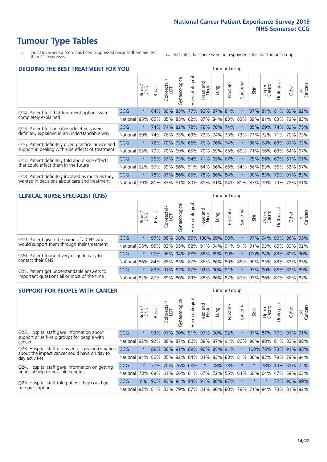- \* Indicates where a score has been suppressed because there are less than 21 responses.
- n.a. Indicates that there were no respondents for that tumour group.

| <b>DECIDING THE BEST TREATMENT FOR YOU</b>         |            |         |               |                            |                                   |               |                  |                     | <b>Tumour Group</b> |                                         |      |                     |                 |             |                |
|----------------------------------------------------|------------|---------|---------------|----------------------------|-----------------------------------|---------------|------------------|---------------------|---------------------|-----------------------------------------|------|---------------------|-----------------|-------------|----------------|
|                                                    |            | Brain   | <b>Breast</b> | olorectal<br>LGT<br>$\cup$ | Gynaecological                    | Haematologica | Head and<br>Neck | Lung                | Prostate            | Sarcoma                                 | Skin | Upper<br>Gastro     | Jrological      | Other       | All<br>Cancers |
| Q14. Patient felt that treatment options were      | CCG        | $\star$ | 84%           | 80%                        | 85%                               |               |                  | 77% 93% 87% 81%     |                     | $\star$                                 |      | 87% 81% 81% 83%     |                 |             | 82%            |
| completely explained                               | National   | 85%     | 85%           |                            | 85%   85%   82%   87%   84%   83% |               |                  |                     |                     | 83%                                     | 89%  |                     | 81% 83% 79% 83% |             |                |
| Q15. Patient felt possible side effects were       | <b>CCG</b> | $\star$ | 74%           | 74%                        | 82%                               | 72% 78%       |                  |                     | 78% 74%             |                                         | 85%  |                     | 69% 74% 82% 75% |             |                |
| definitely explained in an understandable way      | National   | 69%     | 74%           | 76%                        | 75%                               | 69%           | 73%              |                     | 74% 73%             | 73%                                     | 77%  | 72%                 | 71%             | 70% 73%     |                |
| Q16. Patient definitely given practical advice and | <b>CCG</b> | $\star$ | 72%           | 70%                        | 72%                               |               | 66% 76%          | 76% 74%             |                     |                                         | 86%  | 68% 63% 81% 72%     |                 |             |                |
| support in dealing with side effects of treatment  | National   | 63%     | 70%           | 70%                        |                                   | 69% 65% 70%   |                  |                     | 69% 65%             | 66%                                     | 71%  |                     | 66% 63% 64% 67% |             |                |
| Q17. Patient definitely told about side effects    | CCG        | $\star$ | $56\%$        | 57%                        |                                   |               |                  | 73% 54% 71% 65% 67% |                     | $\ast$                                  | 75%  |                     | 56% 60% 61% 61% |             |                |
| that could affect them in the future               | National   | 62%     | 57%           | 59%                        |                                   |               |                  | 56% 51% 64% 56% 66% |                     | 54%                                     | 66%  |                     | 53% 56% 52%     |             | 57%            |
| Q18. Patient definitely involved as much as they   | <b>CCG</b> | $\star$ |               |                            | 78% 87% 86% 85% 78% 86% 84%       |               |                  |                     |                     | $\ast$                                  |      | 90% 83% 76% 91% 83% |                 |             |                |
| wanted in decisions about care and treatment       | National   | 79%     |               |                            |                                   |               |                  |                     |                     | 81% 83% 81% 80% 81% 81% 84% 81% 87% 79% |      |                     |                 | 79% 78% 81% |                |

#### **CLINICAL NURSE SPECIALIST (CNS)** Tumour Group

|                                             |            | Brain<br>CNS | <b>Breast</b> | Colorectal<br>LGT | Gynaecologic | ᠊ᢛ<br>Ü<br>aematologi | Head and<br>Neck                                    | Lung | Prostate | Sarcoma | Skin | Upper<br>Gastro | ᅙ<br>Irologica | Other                | All<br>Cancers |
|---------------------------------------------|------------|--------------|---------------|-------------------|--------------|-----------------------|-----------------------------------------------------|------|----------|---------|------|-----------------|----------------|----------------------|----------------|
| Q19. Patient given the name of a CNS who    | <b>CCG</b> | $\star$      | 97%           | 98%               | 98%          |                       | 95% 100% 99% 90%                                    |      |          |         | 97%  | 94%             |                | 90% 96% 95%          |                |
| would support them through their treatment  | National   |              |               |                   |              |                       | 95% 95% 92% 95% 92% 91% 94% 91% 91% 91% 93% 85% 89% |      |          |         |      |                 |                |                      | 92%            |
| Q20. Patient found it very or quite easy to | <b>CCG</b> | $\star$      |               |                   |              |                       | 90% 96% 94% 88% 88% 89% 90%                         |      |          | $\star$ |      |                 |                | 100% 84% 83% 89% 90% |                |
| contact their CNS                           | National   |              |               |                   |              |                       | 86% 84% 88% 85% 87% 86% 86% 80% 86% 90% 85% 83% 83% |      |          |         |      |                 |                |                      | 85%            |
| Q21. Patient got understandable answers to  | CCG        | $\star$      |               | 89% 91%           | 87%          |                       | 87% 92% 90% 91%                                     |      |          | $\star$ |      | 97% 90%         |                |                      | 86% 83% 89%    |
| important questions all or most of the time | National   |              |               |                   |              |                       | 82% 87% 89% 86% 89% 88% 86% 87% 87% 93% 86% 87% 86% |      |          |         |      |                 |                |                      | 87%            |

| <b>SUPPORT FOR PEOPLE WITH CANCER</b>                                                             |                                          |         |               |                 |                                 |                |                        |         | <b>Tumour Group</b> |         |                         |                 |             |             |                |
|---------------------------------------------------------------------------------------------------|------------------------------------------|---------|---------------|-----------------|---------------------------------|----------------|------------------------|---------|---------------------|---------|-------------------------|-----------------|-------------|-------------|----------------|
|                                                                                                   |                                          | Brain   | <b>Breast</b> | ∼<br>Colorectal | Gynaecological                  | Haematological | ad and<br>Neck<br>Head | Fung    | Prostate            | Sarcoma | Skin                    | Upper<br>Gastro | Jrological  | Other       | All<br>Cancers |
| Q22. Hospital staff gave information about<br>support or self-help groups for people with         | CCG                                      | $\star$ | 93%           | 91%             | 90%                             | 91%            | 97%                    | 90%     | 92%                 | $\star$ | 97%                     | 87%             | 77%         | 91%         | 91%            |
| cancer                                                                                            | National                                 | 92%     | 92%           | 88%             | 87%                             |                | 86% 88% 87% 91%        |         |                     | 86%     | 90%                     |                 |             | 88% 81% 83% | 88%            |
| Q23. Hospital staff discussed or gave information<br>about the impact cancer could have on day to | CCG                                      | $\star$ | 89%           | 86%             | 91%                             |                | 89% 92% 85% 91%        |         |                     | $\ast$  | 100% 76% 73% 91%        |                 |             |             | 88%            |
| day activities                                                                                    | National                                 | 84%     |               |                 | 86% 85% 82% 84% 84% 83% 88% 81% |                |                        |         |                     |         | 86% 83%                 |                 |             | 78% 79%     | 84%            |
| Q24. Hospital staff gave information on getting                                                   | CCG                                      | $\star$ | 77%           | 70%             | 76%                             | 68%            | $\star$                |         | 78% 73%             | $\ast$  | $\star$                 |                 | 78% 49% 61% |             | 72%            |
| financial help or possible benefits                                                               | National                                 | 78%     |               | 68% 61%         |                                 | 66% 61% 67%    |                        | 72% 55% |                     | 64%     | 60%                     |                 | 64% 47%     | 59%         | 63%            |
| Q25. Hospital staff told patient they could get                                                   | <b>CCG</b>                               | n.a.    | 90%           | 93%             |                                 |                | 84% 94% 91% 88% 87%    |         |                     | $\star$ | $\star$                 | $\star$         | 72%         | 90%         | 89%            |
| free prescriptions                                                                                | National 82% 81% 83% 79% 87% 84% 86% 80% |         |               |                 |                                 |                |                        |         |                     |         | 78% 71% 84% 73% 81% 82% |                 |             |             |                |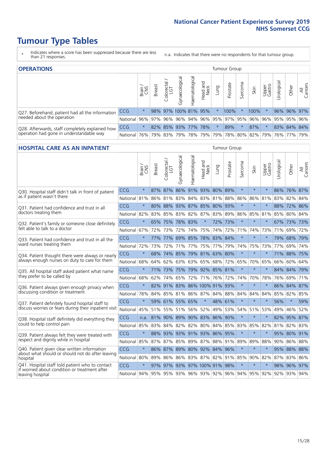- \* Indicates where a score has been suppressed because there are less than 21 responses.
- n.a. Indicates that there were no respondents for that tumour group.

| <b>OPERATIONS</b>                                |              |              |               |                   |                      |                |                  |         | Tumour Group                                        |         |      |                 |            |             |                |
|--------------------------------------------------|--------------|--------------|---------------|-------------------|----------------------|----------------|------------------|---------|-----------------------------------------------------|---------|------|-----------------|------------|-------------|----------------|
|                                                  |              | Brain<br>CNS | <b>Breast</b> | Colorectal<br>LGT | Gynaecological       | Haematological | Head and<br>Neck | Lung    | Prostate                                            | Sarcoma | Skin | Upper<br>Gastro | Jrological | Other       | All<br>Cancers |
| Q27. Beforehand, patient had all the information | <b>CCG</b>   | $\star$      |               |                   | 98% 97% 100% 81% 95% |                |                  | $\star$ | 100%                                                |         | 100% |                 |            | 96% 96% 97% |                |
| needed about the operation                       | National 96% |              |               |                   |                      |                |                  |         | 97% 96% 96% 94% 96% 95% 97% 95% 96%                 |         |      | 96%             |            | 95% 95% 96% |                |
| Q28. Afterwards, staff completely explained how  | <b>CCG</b>   | $\star$      |               |                   | 82% 85% 93% 77% 78%  |                |                  | $\star$ | 89%                                                 |         | 87%  | $\star$         |            | 83% 84% 84% |                |
| operation had gone in understandable way         | National 76% |              |               |                   |                      |                |                  |         | 79% 83% 79% 78% 79% 79% 78% 80% 82% 79% 76% 77% 79% |         |      |                 |            |             |                |

#### **HOSPITAL CARE AS AN INPATIENT** Tumour Group

|                                                                                                   |              | Brain   | Breast                           | Colorectal /<br>LGT | Gynaecological  | Haematological | Head and<br>Neck             | Lung        | Prostate    | Sarcoma | Skin                                    | Upper<br>Gastro | Urological | Other       | All<br>Cancers |
|---------------------------------------------------------------------------------------------------|--------------|---------|----------------------------------|---------------------|-----------------|----------------|------------------------------|-------------|-------------|---------|-----------------------------------------|-----------------|------------|-------------|----------------|
| Q30. Hospital staff didn't talk in front of patient                                               | CCG          | $\star$ |                                  |                     |                 |                | 87% 87% 86% 91% 93% 80% 89%  |             |             | $\star$ | $\star$                                 | $\star$         |            | 86% 76% 87% |                |
| as if patient wasn't there                                                                        | National     | 81%     | 86%                              | 81%                 |                 | 83% 84%        |                              | 83% 81%     | 88%         | 86%     | 86%                                     | 81%             | 83%        | 82%         | 84%            |
| O31. Patient had confidence and trust in all                                                      | CCG          | $\star$ | 80%                              | 88%                 |                 |                | 93% 87% 85% 80% 93%          |             |             | $\star$ |                                         |                 | 88%        | 72%         | 86%            |
| doctors treating them                                                                             | National 82% |         |                                  |                     | 83% 85% 83% 82% |                |                              |             | 87% 83% 89% | 86%     | 85%                                     | 81%             | 85%        | 80% 84%     |                |
| Q32. Patient's family or someone close definitely<br>felt able to talk to a doctor                | CCG          | $\star$ | 65%                              | 75%                 | 78% 83%         |                | $\star$                      | 72%         | 73%         | $\star$ | $\star$                                 | $\star$         |            | 67% 73% 73% |                |
|                                                                                                   | National 67% |         | 72%                              | 73%                 |                 | 72% 74%        | 75%                          | 74%         | 72%         | 71%     | 74%                                     | 73%             | 71%        | 69%         | 72%            |
| Q33. Patient had confidence and trust in all the                                                  | CCG          | $\star$ |                                  |                     |                 |                | 77% 77% 69% 85% 78% 83%      |             | 84%         | $\star$ | $\star$                                 | $\star$         |            | 79% 68% 79% |                |
| ward nurses treating them                                                                         | National I   | 72%     | 73%                              | 72%                 |                 | 71% 77%        | 75%                          | 77%         | 79%         | 74%     | 75%                                     | 73%             | 77%        | 69%         | 74%            |
| Q34. Patient thought there were always or nearly<br>always enough nurses on duty to care for them | <b>CCG</b>   | $\star$ | 68%                              | 74% 85%             |                 | 79% 81%        |                              | 63%         | 80%         | $\star$ | $\star$                                 | $\star$         |            | 71% 88%     | 75%            |
|                                                                                                   | National     | 68%     | 64%                              | 62%                 | 63%             | 63%            | 65%                          |             | 68% 72%     | 65%     | 70%                                     | 65%             | 66%        | 60%         | 64%            |
| Q35. All hospital staff asked patient what name                                                   | CCG          | $\star$ |                                  | 71% 73%             |                 |                | 75% 79% 92% 85% 81%          |             |             | $\star$ | $\star$                                 | $\star$         |            | 84% 84% 79% |                |
| they prefer to be called by                                                                       | National     | 68%     |                                  | 62% 74%             | 65%             | 72%            |                              | 71% 76% 72% |             | 74%     | 70%                                     | 78%             |            | 76% 69%     | 71%            |
| Q36. Patient always given enough privacy when                                                     | CCG          | $\star$ |                                  |                     |                 |                | 82% 91% 83% 86% 100% 91% 93% |             |             | $\star$ | $\star$                                 |                 |            | 86% 84% 87% |                |
| discussing condition or treatment                                                                 | National     | 78%     |                                  |                     |                 |                | 84% 85% 81% 86% 87% 84% 88%  |             |             | 84%     | 84%                                     | 84%             | 85%        | 82%         | 85%            |
| Q37. Patient definitely found hospital staff to                                                   | CCG          | $\star$ |                                  | 59% 61%             | 55% 65%         |                | $\star$                      | 48% 61%     |             | $\star$ | $\star$                                 | $\star$         | 56%        | $\star$     | 59%            |
| discuss worries or fears during their inpatient visit                                             | National     | 45%     |                                  |                     | 51% 55% 51% 56% |                | 52%                          | 49%         | 53%         | 54%     | 51% 53%                                 |                 | 49%        | 46%         | 52%            |
| Q38. Hospital staff definitely did everything they                                                | CCG          |         | n.a. 81% 90% 89% 90% 83% 86% 90% |                     |                 |                |                              |             |             | $\star$ | $\star$                                 | $\star$         |            | 82% 95% 87% |                |
| could to help control pain                                                                        | National     | 85%     | 83%                              | 84%                 | 82%             | 82%            | 80%                          | 84%         | 85%         | 83%     | 85%                                     | 82%             | 81%        | 82%         | 83%            |
| Q39. Patient always felt they were treated with                                                   | CCG          | $\star$ | 88%                              | 93%                 |                 |                | 93% 91% 93% 86%              |             | 95%         | $\star$ | $\star$                                 |                 |            | 95% 80% 91% |                |
| respect and dignity while in hospital                                                             | National 85% |         |                                  |                     |                 |                | 87% 87% 85% 89% 87% 88% 91%  |             |             | 89%     | 89%                                     | 88%             |            | 90% 86% 88% |                |
| Q40. Patient given clear written information<br>about what should or should not do after leaving  | CCG          | $\star$ |                                  |                     |                 |                | 86% 87% 89% 80% 92% 84%      |             | 96%         | $\star$ | $\star$                                 | $\star$         |            | 95% 88% 88% |                |
| hospital                                                                                          | National 80% |         | 89%                              | 86%                 | 86% 83%         |                |                              | 87% 82%     | 91%         | 85%     | $90\%$                                  | 82%             | 87%        | 83%         | 86%            |
| Q41. Hospital staff told patient who to contact                                                   | CCG          | $\star$ |                                  |                     |                 |                | 97% 97% 93% 97% 100% 91%     |             | 98%         | $\star$ | $\star$                                 | $\star$         |            | 98% 96% 97% |                |
| if worried about condition or treatment after<br>leaving hospital                                 | National 94% |         |                                  |                     |                 |                |                              |             |             |         | 95% 95% 93% 96% 93% 92% 96% 94% 95% 92% |                 |            | 92% 93% 94% |                |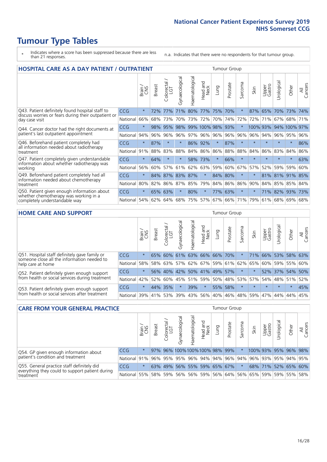- \* Indicates where a score has been suppressed because there are less than 21 responses.
- n.a. Indicates that there were no respondents for that tumour group.

| <b>HOSPITAL CARE AS A DAY PATIENT / OUTPATIENT</b>                                                                    |          |         |               |                                     |                |                |                         |         |          | <b>Tumour Group</b> |          |                 |            |         |                |  |  |  |
|-----------------------------------------------------------------------------------------------------------------------|----------|---------|---------------|-------------------------------------|----------------|----------------|-------------------------|---------|----------|---------------------|----------|-----------------|------------|---------|----------------|--|--|--|
|                                                                                                                       |          | Brain   | <b>Breast</b> | $\frac{\text{Colored}}{\text{LGT}}$ | Gynaecological | Haematological | ead and<br>Neck<br>Head | Lung    | Prostate | Sarcoma             | Skin     | Upper<br>Gastro | Urological | Other   | All<br>Cancers |  |  |  |
| Q43. Patient definitely found hospital staff to                                                                       | CCG      | $\star$ | 72%           | 77%                                 | 71%            | 80%            | 77%                     | 75%     | 70%      | $\ast$              | 87%      | 65%             | 70%        | 73%     | 74%            |  |  |  |
| discuss worries or fears during their outpatient or<br>day case visit                                                 | National | 66%     | 68%           | 73%                                 | 70%            | 73%            | 72%                     | 70%     | 74%      | 72%                 | 72%      | 71%             | 67%        | 68%     | 71%            |  |  |  |
| Q44. Cancer doctor had the right documents at<br>patient's last outpatient appointment                                | CCG      | $\star$ | 98%           | 95%                                 | 98%            |                | 99% 100% 98%            |         | 93%      | $\star$             | 100% 93% |                 | 94%        | 100%    | 97%            |  |  |  |
|                                                                                                                       | National | 94%     | 96%           | 96%                                 | 96%            | 97%            |                         | 96% 96% | 96%      | 96%                 | 96%      | 94%             | 96%        | 95%     | 96%            |  |  |  |
| Q46. Beforehand patient completely had                                                                                | CCG      | $\star$ | 87%           | $\star$                             | $\star$        | 86% 92%        |                         | $\star$ | 87%      | $\star$             |          | $\star$         | $\star$    | $\ast$  | 86%            |  |  |  |
| all information needed about radiotherapy<br>treatment                                                                | National | 91%     | 88%           | 83%                                 | 88%            |                | 84% 86%                 | 86%     | 88%      | 88%                 | 84%      | 86%             | 83%        | 84%     | 86%            |  |  |  |
| Q47. Patient completely given understandable                                                                          | CCG      | $\star$ | 64%           | $\star$                             |                |                | 58% 73%                 | $\star$ | 66%      | $\star$             | $\star$  | $\star$         | $\star$    | $\ast$  | 63%            |  |  |  |
| information about whether radiotherapy was<br>working                                                                 | National | 56%     | 60%           | 57%                                 | 61%            | 62%            | 63%                     | 59%     | 60%      | 67%                 | 57%      | 52%             | 59%        | 59%     | 60%            |  |  |  |
| Q49. Beforehand patient completely had all                                                                            | CCG      | $\star$ | 84%           | 87%                                 | 83%            | 87%            | $\star$                 | 84%     | 80%      | $\star$             | $\ast$   | 81%             | 81%        | 91%     | 85%            |  |  |  |
| information needed about chemotherapy<br>treatment                                                                    | National | 80%     | 82%           | 86%                                 | 87%            | 85%            | 79%                     | 84%     | 86%      | 86%                 | 90%      | 84%             | 85%        | 85%     | 84%            |  |  |  |
| Q50. Patient given enough information about<br>whether chemotherapy was working in a<br>completely understandable way | CCG      | $\star$ |               | 65% 63%                             | $\star$        | 80%            | $\star$                 | 77%     | 63%      | $\star$             |          |                 | 71% 82%    | 93%     | 73%            |  |  |  |
|                                                                                                                       | National | 54%     | 62%           | 64%                                 | 68%            | 75%            | 57%                     | 67%     | 66%      | 71%                 | 79%      | 61%             |            | 68% 69% | 68%            |  |  |  |

#### **HOME CARE AND SUPPORT** Tumour Group

|                                                                                                                   |            | Brain   | <b>Breast</b> | Colorectal<br>LGT | ᢛ<br>Gynaecologic | Haematological | Head and<br>Neck | <b>Lung</b>         | Prostate | Sarcoma | Skin                                    | Upper<br>Gastro | Urological  | Other           | All<br>Cancers |
|-------------------------------------------------------------------------------------------------------------------|------------|---------|---------------|-------------------|-------------------|----------------|------------------|---------------------|----------|---------|-----------------------------------------|-----------------|-------------|-----------------|----------------|
| Q51. Hospital staff definitely gave family or<br>someone close all the information needed to<br>help care at home | <b>CCG</b> | $\star$ | 65%           | 60%               | 61%               |                |                  | 63% 66% 66% 70%     |          |         | 71%                                     | 66%             | 53%         | 58%             | 63%            |
|                                                                                                                   | National   | 58%     |               | 58% 63%           |                   |                |                  |                     |          |         | 57% 62% 67% 59% 61% 62% 65%             |                 |             | 60%   59%   55% | 60%            |
| Q52. Patient definitely given enough support<br>from health or social services during treatment                   | <b>CCG</b> | $\star$ |               | 56% 40%           |                   |                |                  | 42% 50% 41% 49% 57% |          | $\star$ |                                         |                 |             | 52% 37% 54% 50% |                |
|                                                                                                                   | National   | 42%     | $52\%$        | 60%               |                   |                |                  |                     |          |         | 45%   51%   59%   50%   48%   53%   57% |                 | 54% 48% 51% |                 | 52%            |
| Q53. Patient definitely given enough support<br>from health or social services after treatment                    | <b>CCG</b> | $\star$ | 44% 35%       |                   | $\star$           | 39%            | $\star$          | 55%                 | 58%      | $\star$ | $\star$                                 | $\star$         | $\star$     | $\star$         | 45%            |
|                                                                                                                   | National   | 39%     | 41% 53%       |                   | 39%               | $ 43\% $       | 56%              | $ 40\% $            | 46%      |         | 48% 59%                                 | 47%             | 44%         | 44%             | 45%            |

| <b>CARE FROM YOUR GENERAL PRACTICE</b>                                                                     |                                                                  |              |               |                   |               |                                |                  |      | Tumour Group |         |                                                                 |                 |                      |       |                |  |  |
|------------------------------------------------------------------------------------------------------------|------------------------------------------------------------------|--------------|---------------|-------------------|---------------|--------------------------------|------------------|------|--------------|---------|-----------------------------------------------------------------|-----------------|----------------------|-------|----------------|--|--|
|                                                                                                            |                                                                  | Brain<br>CNS | <b>Breast</b> | Colorectal<br>LGT | Gynaecologica | Haematological                 | Head and<br>Neck | Lung | Prostate     | Sarcoma | Skin                                                            | Upper<br>Gastro | Φ<br>Urologica       | Other | All<br>Cancers |  |  |
| Q54. GP given enough information about<br>patient's condition and treatment                                | CCG                                                              | $\star$      |               |                   |               | 97% 96% 100% 100% 100% 98% 99% |                  |      |              |         |                                                                 |                 | 100% 93% 95% 96% 98% |       |                |  |  |
|                                                                                                            | National 91% 96% 95% 95% 96% 94% 94% 96% 94% 96% 93% 95% 94% 95% |              |               |                   |               |                                |                  |      |              |         |                                                                 |                 |                      |       |                |  |  |
| Q55. General practice staff definitely did<br>everything they could to support patient during<br>treatment | <b>CCG</b>                                                       | $\star$      |               | 63% 49%           |               | 56% 55% 59% 65% 67%            |                  |      |              |         |                                                                 |                 | 68% 71% 52% 65% 60%  |       |                |  |  |
|                                                                                                            | National 55%                                                     |              |               | 58% 59%           |               |                                |                  |      |              |         | 56%   56%   59%   56%   64%   56%   65%   59%   59%   55%   58% |                 |                      |       |                |  |  |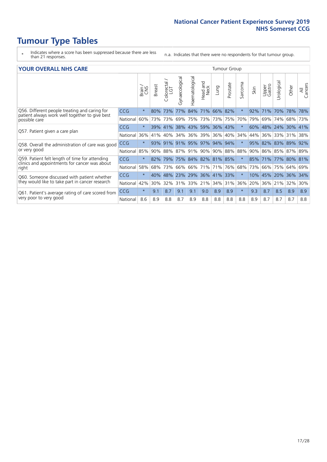- \* Indicates where a score has been suppressed because there are less than 21 responses.
- n.a. Indicates that there were no respondents for that tumour group.

#### **YOUR OVERALL NHS CARE** THE TWO CONTROLLER THE THE THROUP CHANGE THE TUMOUR GROUP

| I YYIN YENALL INIIY GANL |              |               |                       |                                            |                |                                 |                                |                                              |                                                                                                             |      |                 |                |            |                                                             |  |  |  |  |  |
|--------------------------|--------------|---------------|-----------------------|--------------------------------------------|----------------|---------------------------------|--------------------------------|----------------------------------------------|-------------------------------------------------------------------------------------------------------------|------|-----------------|----------------|------------|-------------------------------------------------------------|--|--|--|--|--|
|                          | Brain<br>CNS | <b>Breast</b> | olorectal<br>LGT<br>Ū | Gynaecological                             | Haematological | <b>Bad and<br/>Neck</b><br>Head | Lung                           | Prostate                                     | arcoma<br>$\sqrt{ }$                                                                                        | Skin | Upper<br>Gastro | लु<br>Urologia | Other      | All<br>Cancers                                              |  |  |  |  |  |
| <b>CCG</b>               | $\star$      | 80%           | 73%                   | 77%                                        | 84%            | 71%                             |                                |                                              | $\star$                                                                                                     | 92%  | 71%             | 70%            | 78%        | 78%                                                         |  |  |  |  |  |
| National                 | 60%          |               |                       | 69%                                        |                |                                 |                                |                                              | 70%                                                                                                         | 79%  | 69%             | 74%            |            | 73%                                                         |  |  |  |  |  |
| <b>CCG</b>               | $\star$      |               |                       |                                            |                |                                 |                                |                                              | $\ast$                                                                                                      | 60%  |                 |                |            |                                                             |  |  |  |  |  |
| National                 | 36%          | 41%           | 40%                   | 34%                                        |                |                                 |                                |                                              | 34%                                                                                                         | 44%  | 36%             | 33%            | 31%        | 38%                                                         |  |  |  |  |  |
| <b>CCG</b>               | $\star$      | 93%           | 91%                   |                                            |                |                                 |                                |                                              | $\star$                                                                                                     | 95%  | 82%             |                |            | 92%                                                         |  |  |  |  |  |
| National                 | 85%          |               |                       | 87%                                        |                |                                 |                                |                                              | 88%                                                                                                         | 90%  |                 |                |            | 89%                                                         |  |  |  |  |  |
| <b>CCG</b>               | $\star$      | 82%           |                       |                                            |                |                                 |                                |                                              | $\star$                                                                                                     |      |                 |                |            |                                                             |  |  |  |  |  |
| National                 | 58%          | 68%           | 73%                   | 66%                                        | 66%            |                                 | 71%                            | 76%                                          | 68%                                                                                                         | 73%  | 66%             | 75%            | 64%        | 69%                                                         |  |  |  |  |  |
| <b>CCG</b>               | $\star$      | 40%           | 48%                   | 23%                                        |                |                                 |                                |                                              | $\star$                                                                                                     | 10%  | 45%             |                | 36%        | 34%                                                         |  |  |  |  |  |
| National                 | 42%          | 30%           | 32%                   | 31%                                        |                |                                 | 34%                            | 31%                                          | 36%                                                                                                         | 20%  | 36%             | 21%            | 32%        | 30%                                                         |  |  |  |  |  |
| <b>CCG</b>               | $\star$      | 9.1           | 8.7                   | 9.1                                        | 9.1            | 9.0                             | 8.9                            | 8.9                                          | $\star$                                                                                                     | 9.3  | 8.7             | 8.5            | 8.9        | 8.9                                                         |  |  |  |  |  |
| National                 | 8.6          | 8.9           | 8.8                   | 8.7                                        | 8.9            | 8.8                             | 8.8                            | 8.8                                          | 8.8                                                                                                         | 8.9  | 8.7             | 8.7            | 8.7        | 8.8                                                         |  |  |  |  |  |
|                          |              |               |                       | 73%<br>73%<br>39% 41%<br>88%<br>90%<br>79% |                |                                 | 36% 39%<br>91% 95% 97%<br>171% | 75% 73%<br>38% 43% 59%<br>91% 90%<br>33% 21% | 66% 82%<br>73% 75%<br>36% 43%<br>36%<br>40%<br>94% 94%<br>90% 88%<br>75% 84% 82% 81% 85%<br>29% 36% 41% 33% |      |                 | 85% 71%        | 83%<br>20% | 68%<br>48% 24% 30% 41%<br>89%<br>86% 85% 87%<br>77% 80% 81% |  |  |  |  |  |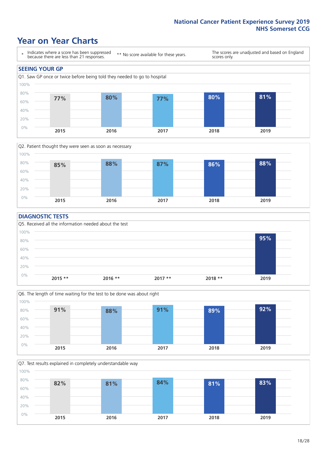### **Year on Year Charts**





#### **DIAGNOSTIC TESTS**





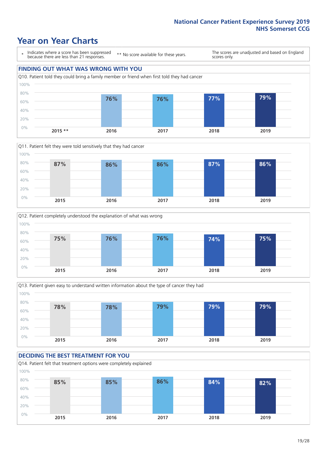### **Year on Year Charts**

\* Indicates where a score has been suppressed because there are less than 21 responses.

\*\* No score available for these years.

The scores are unadjusted and based on England scores only.

#### **FINDING OUT WHAT WAS WRONG WITH YOU** Q10. Patient told they could bring a family member or friend when first told they had cancer 0% 20% 40% 60% 80% 100% **2015 \*\* 2016 2017 2018 2019 76% 76% 77% 79%**







#### **DECIDING THE BEST TREATMENT FOR YOU** Q14. Patient felt that treatment options were completely explained 0% 20% 40% 60% 80% 100% **2015 2016 2017 2018 2019 85% 85% 86% 84% 82%**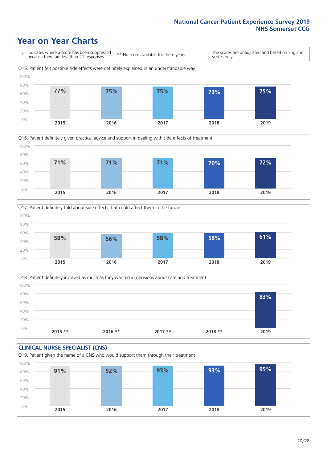### **Year on Year Charts**







Q18. Patient definitely involved as much as they wanted in decisions about care and treatment  $0%$ 20% 40% 60% 80% 100% **2015 \*\* 2016 \*\* 2017 \*\* 2018 \*\* 2019 83%**

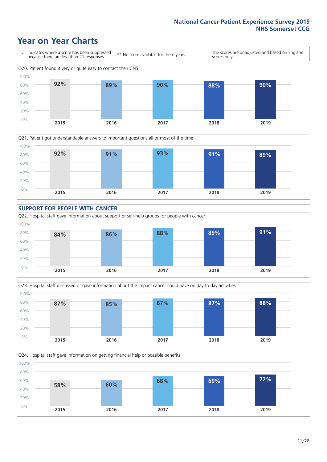### **Year on Year Charts**









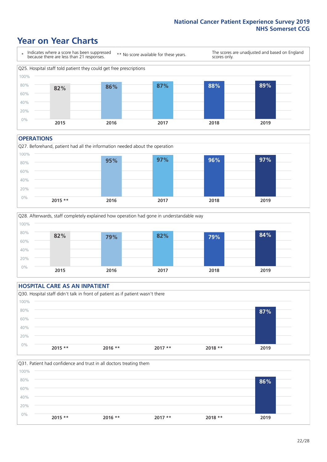### **Year on Year Charts**



#### **OPERATIONS**

Q27. Beforehand, patient had all the information needed about the operation 0% 20% 40% 60% 80% 100% **2015 \*\* 2016 2017 2018 2019 95% 97% 96% 97%**



#### **HOSPITAL CARE AS AN INPATIENT** Q30. Hospital staff didn't talk in front of patient as if patient wasn't there 0% 20% 40% 60% 80% 100% **2015 \*\* 2016 \*\* 2017 \*\* 2018 \*\* 2019 87%**

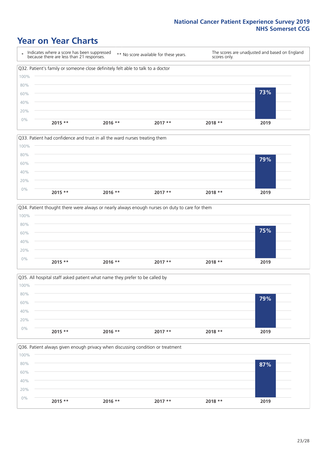### **Year on Year Charts**









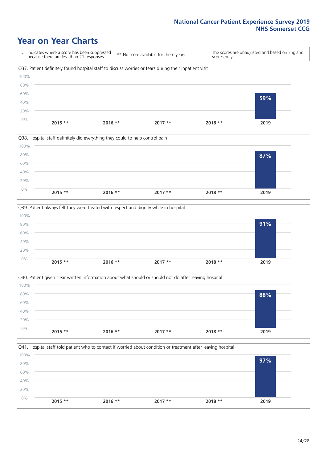### **Year on Year Charts**

\* Indicates where a score has been suppressed because there are less than 21 responses. \*\* No score available for these years. The scores are unadjusted and based on England scores only. Q37. Patient definitely found hospital staff to discuss worries or fears during their inpatient visit 0% 20% 40% 60% 80% 100% **2015 \*\* 2016 \*\* 2017 \*\* 2018 \*\* 2019 59%**







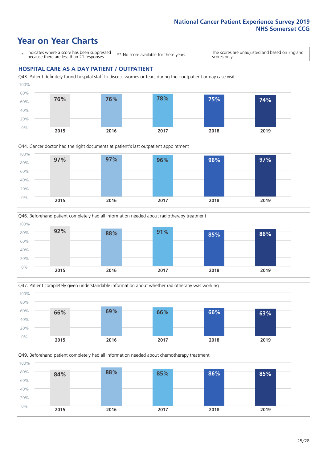### **Year on Year Charts**

\* Indicates where a score has been suppressed because there are less than 21 responses.

\*\* No score available for these years.

The scores are unadjusted and based on England scores only.

#### **HOSPITAL CARE AS A DAY PATIENT / OUTPATIENT**









Q49. Beforehand patient completely had all information needed about chemotherapy treatment 0% 20% 40% 60% 80% 100% **2015 2016 2017 2018 2019 84% 88% 85% 86% 85%**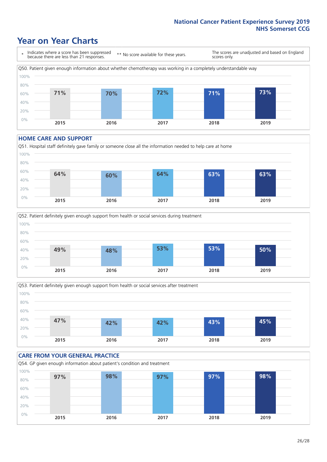### **Year on Year Charts**

\* Indicates where a score has been suppressed because there are less than 21 responses. \*\* No score available for these years. The scores are unadjusted and based on England scores only. Q50. Patient given enough information about whether chemotherapy was working in a completely understandable way 0% 20% 40% 60% 80% 100% **2015 2016 2017 2018 2019 71% 70% 72% 71% 73%**

#### **HOME CARE AND SUPPORT**







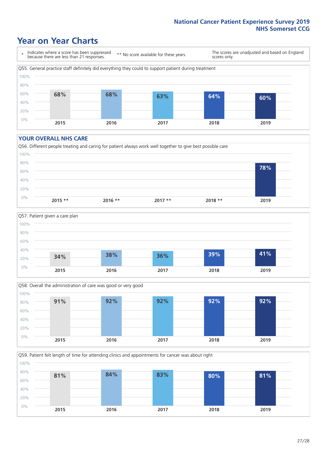### **Year on Year Charts**

\* Indicates where a score has been suppressed because there are less than 21 responses.

\*\* No score available for these years.

The scores are unadjusted and based on England scores only.



#### **YOUR OVERALL NHS CARE**







Q59. Patient felt length of time for attending clinics and appointments for cancer was about right 100%